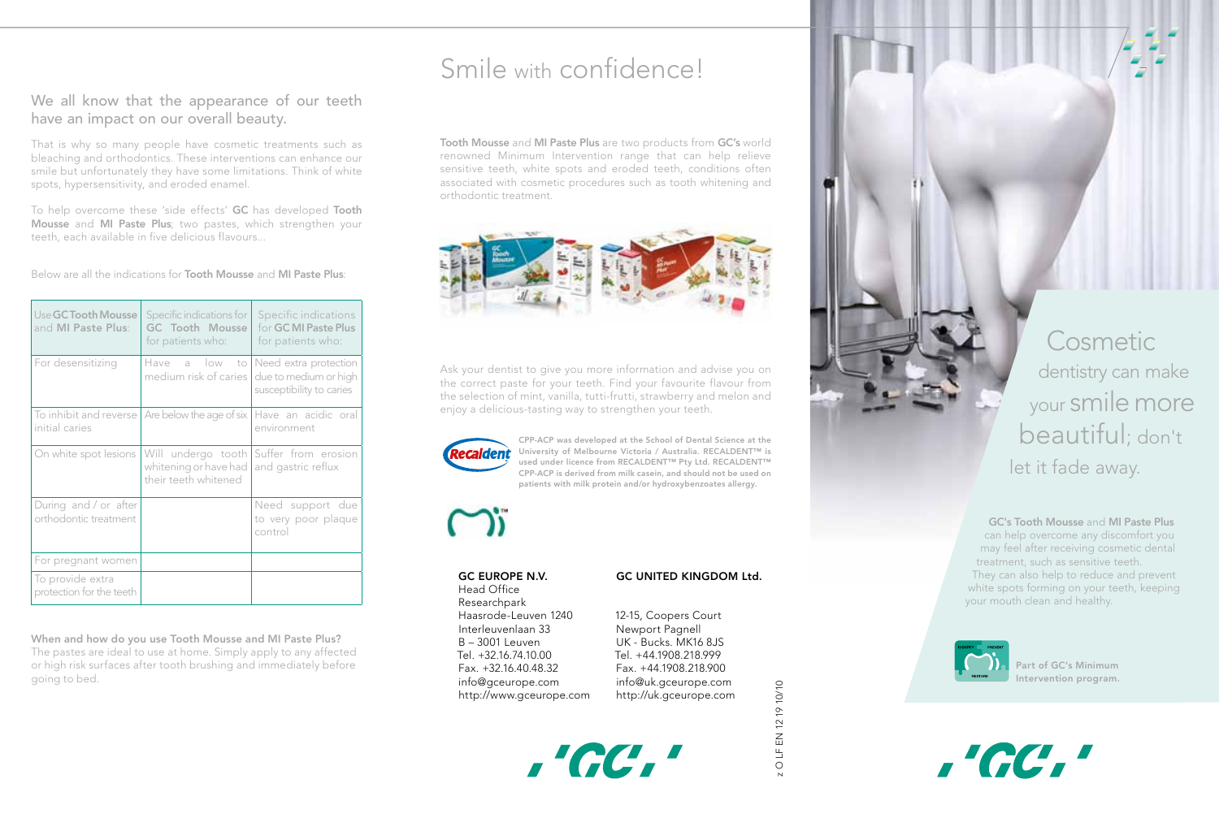### We all know that the appearance of our teeth have an impact on our overall beauty.

That is why so many people have cosmetic treatments such as bleaching and orthodontics. These interventions can enhance our smile but unfortunately they have some limitations. Think of white spots, hypersensitivity, and eroded enamel.

To help overcome these 'side effects' GC has developed Tooth Mousse and MI Paste Plus; two pastes, which strengthen your teeth, each available in five delicious flavours...

Below are all the indications for **Tooth Mousse** and **MI Paste Plus**:

| Use GC Tooth Mousse<br>and MI Paste Plus:      | Specific indications for<br>GC Tooth Mousse<br>for patients who:    | Specific indications<br>for GC MI Paste Plus<br>for patients who: |
|------------------------------------------------|---------------------------------------------------------------------|-------------------------------------------------------------------|
| For desensitizing                              | Have a low to   Need extra protection<br>medium risk of caries      | due to medium or high<br>susceptibility to caries                 |
| To inhibit and reverse<br>initial caries       | Are below the age of six                                            | Have an acidic oral<br>environment                                |
| On white spot lesions                          | Will undergo tooth<br>whitening or have had<br>their teeth whitened | Suffer from erosion<br>and gastric reflux                         |
| During and / or after<br>orthodontic treatment |                                                                     | Need support due<br>to very poor plaque<br>control                |
| For pregnant women                             |                                                                     |                                                                   |
| To provide extra<br>protection for the teeth   |                                                                     |                                                                   |

When and how do you use Tooth Mousse and MI Paste Plus? The pastes are ideal to use at home. Simply apply to any affected or high risk surfaces after tooth brushing and immediately before going to bed.

# Smile with confidence!

Tooth Mousse and MI Paste Plus are two products from GC's world renowned Minimum Intervention range that can help relieve sensitive teeth, white spots and eroded teeth, conditions often associated with cosmetic procedures such as tooth whitening and orthodontic treatment.



Ask your dentist to give you more information and advise you on the correct paste for your teeth. Find your favourite flavour from the selection of mint, vanilla, tutti-frutti, strawberry and melon and enjoy a delicious-tasting way to strengthen your teeth.



CPP-ACP was developed at the School of Dental Science at the University of Melbourne Victoria / Australia. RECALDENT™ is used under licence from RECALDENT™ Pty Ltd. RECALDENT™ CPP-ACP is derived from milk casein, and should not be used on patients with milk protein and/or hydroxybenzoates allergy.

### GC EUROPE N.V. Head Office

Researchpark Haasrode-Leuven 1240 Interleuvenlaan 33 B – 3001 Leuven Tel. +32.16.74.10.00 Fax. +32.16.40.48.32 info@gceurope.com http://www.gceurope.com

#### GC UNITED KINGDOM Ltd.

z O LF EN 12 19 10/10

OLF EN 12 19 10/10

12-15, Coopers Court Newport Pagnell UK - Bucks. MK16 8JS Tel. +44.1908.218.999 Fax. +44.1908.218.900 info@uk.gceurope.com http://uk.gceurope.com



Cosmetic dentistry can make your smile more beautiful; don't let it fade away.

> GC's Tooth Mousse and MI Paste Plus can help overcome any discomfort you may feel after receiving cosmetic dental treatment, such as sensitive teeth. They can also help to reduce and prevent white spots forming on your teeth, keeping your mouth clean and healthy.